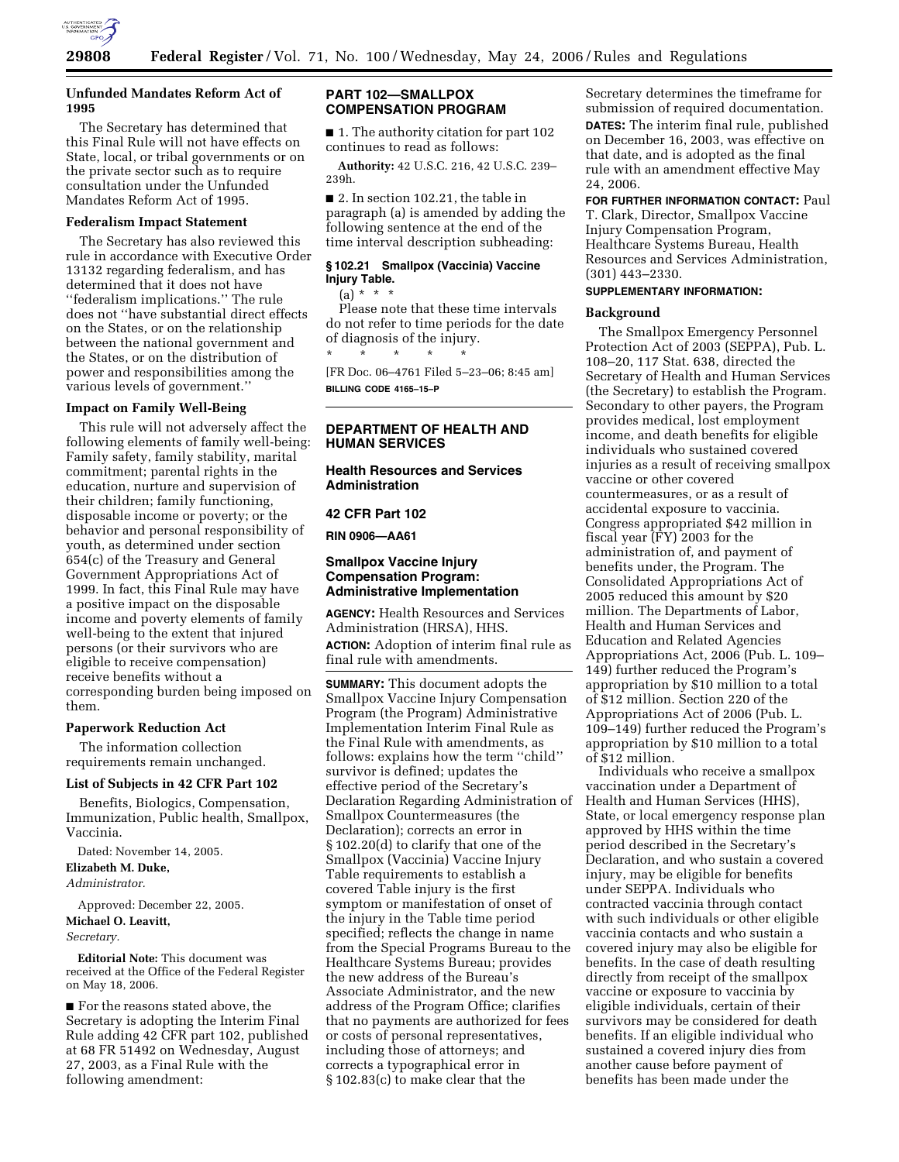

# **Unfunded Mandates Reform Act of 1995**

The Secretary has determined that this Final Rule will not have effects on State, local, or tribal governments or on the private sector such as to require consultation under the Unfunded Mandates Reform Act of 1995.

## **Federalism Impact Statement**

The Secretary has also reviewed this rule in accordance with Executive Order 13132 regarding federalism, and has determined that it does not have ''federalism implications.'' The rule does not ''have substantial direct effects on the States, or on the relationship between the national government and the States, or on the distribution of power and responsibilities among the various levels of government.''

## **Impact on Family Well-Being**

This rule will not adversely affect the following elements of family well-being: Family safety, family stability, marital commitment; parental rights in the education, nurture and supervision of their children; family functioning, disposable income or poverty; or the behavior and personal responsibility of youth, as determined under section 654(c) of the Treasury and General Government Appropriations Act of 1999. In fact, this Final Rule may have a positive impact on the disposable income and poverty elements of family well-being to the extent that injured persons (or their survivors who are eligible to receive compensation) receive benefits without a corresponding burden being imposed on them.

## **Paperwork Reduction Act**

The information collection requirements remain unchanged.

#### **List of Subjects in 42 CFR Part 102**

Benefits, Biologics, Compensation, Immunization, Public health, Smallpox, Vaccinia.

Dated: November 14, 2005. **Elizabeth M. Duke,**  *Administrator.* 

Approved: December 22, 2005. **Michael O. Leavitt,**  *Secretary.* 

**Editorial Note:** This document was received at the Office of the Federal Register on May 18, 2006.

■ For the reasons stated above, the Secretary is adopting the Interim Final Rule adding 42 CFR part 102, published at 68 FR 51492 on Wednesday, August 27, 2003, as a Final Rule with the following amendment:

# **PART 102—SMALLPOX COMPENSATION PROGRAM**

■ 1. The authority citation for part 102 continues to read as follows:

**Authority:** 42 U.S.C. 216, 42 U.S.C. 239– 239h.

■ 2. In section 102.21, the table in paragraph (a) is amended by adding the following sentence at the end of the time interval description subheading:

# **§ 102.21 Smallpox (Vaccinia) Vaccine Injury Table.**

 $(a) * * * *$ 

Please note that these time intervals do not refer to time periods for the date of diagnosis of the injury. \* \* \* \* \*

[FR Doc. 06–4761 Filed 5–23–06; 8:45 am] **BILLING CODE 4165–15–P** 

# **DEPARTMENT OF HEALTH AND HUMAN SERVICES**

## **Health Resources and Services Administration**

## **42 CFR Part 102**

**RIN 0906—AA61** 

# **Smallpox Vaccine Injury Compensation Program: Administrative Implementation**

**AGENCY:** Health Resources and Services Administration (HRSA), HHS. **ACTION:** Adoption of interim final rule as final rule with amendments.

**SUMMARY:** This document adopts the Smallpox Vaccine Injury Compensation Program (the Program) Administrative Implementation Interim Final Rule as the Final Rule with amendments, as follows: explains how the term ''child'' survivor is defined; updates the effective period of the Secretary's Declaration Regarding Administration of Smallpox Countermeasures (the Declaration); corrects an error in § 102.20(d) to clarify that one of the Smallpox (Vaccinia) Vaccine Injury Table requirements to establish a covered Table injury is the first symptom or manifestation of onset of the injury in the Table time period specified; reflects the change in name from the Special Programs Bureau to the Healthcare Systems Bureau; provides the new address of the Bureau's Associate Administrator, and the new address of the Program Office; clarifies that no payments are authorized for fees or costs of personal representatives, including those of attorneys; and corrects a typographical error in § 102.83(c) to make clear that the

Secretary determines the timeframe for submission of required documentation. **DATES:** The interim final rule, published on December 16, 2003, was effective on that date, and is adopted as the final rule with an amendment effective May 24, 2006.

**FOR FURTHER INFORMATION CONTACT:** Paul T. Clark, Director, Smallpox Vaccine Injury Compensation Program, Healthcare Systems Bureau, Health Resources and Services Administration, (301) 443–2330.

# **SUPPLEMENTARY INFORMATION:**

# **Background**

The Smallpox Emergency Personnel Protection Act of 2003 (SEPPA), Pub. L. 108–20, 117 Stat. 638, directed the Secretary of Health and Human Services (the Secretary) to establish the Program. Secondary to other payers, the Program provides medical, lost employment income, and death benefits for eligible individuals who sustained covered injuries as a result of receiving smallpox vaccine or other covered countermeasures, or as a result of accidental exposure to vaccinia. Congress appropriated \$42 million in fiscal year (FY) 2003 for the administration of, and payment of benefits under, the Program. The Consolidated Appropriations Act of 2005 reduced this amount by \$20 million. The Departments of Labor, Health and Human Services and Education and Related Agencies Appropriations Act, 2006 (Pub. L. 109– 149) further reduced the Program's appropriation by \$10 million to a total of \$12 million. Section 220 of the Appropriations Act of 2006 (Pub. L. 109–149) further reduced the Program's appropriation by \$10 million to a total of \$12 million.

Individuals who receive a smallpox vaccination under a Department of Health and Human Services (HHS), State, or local emergency response plan approved by HHS within the time period described in the Secretary's Declaration, and who sustain a covered injury, may be eligible for benefits under SEPPA. Individuals who contracted vaccinia through contact with such individuals or other eligible vaccinia contacts and who sustain a covered injury may also be eligible for benefits. In the case of death resulting directly from receipt of the smallpox vaccine or exposure to vaccinia by eligible individuals, certain of their survivors may be considered for death benefits. If an eligible individual who sustained a covered injury dies from another cause before payment of benefits has been made under the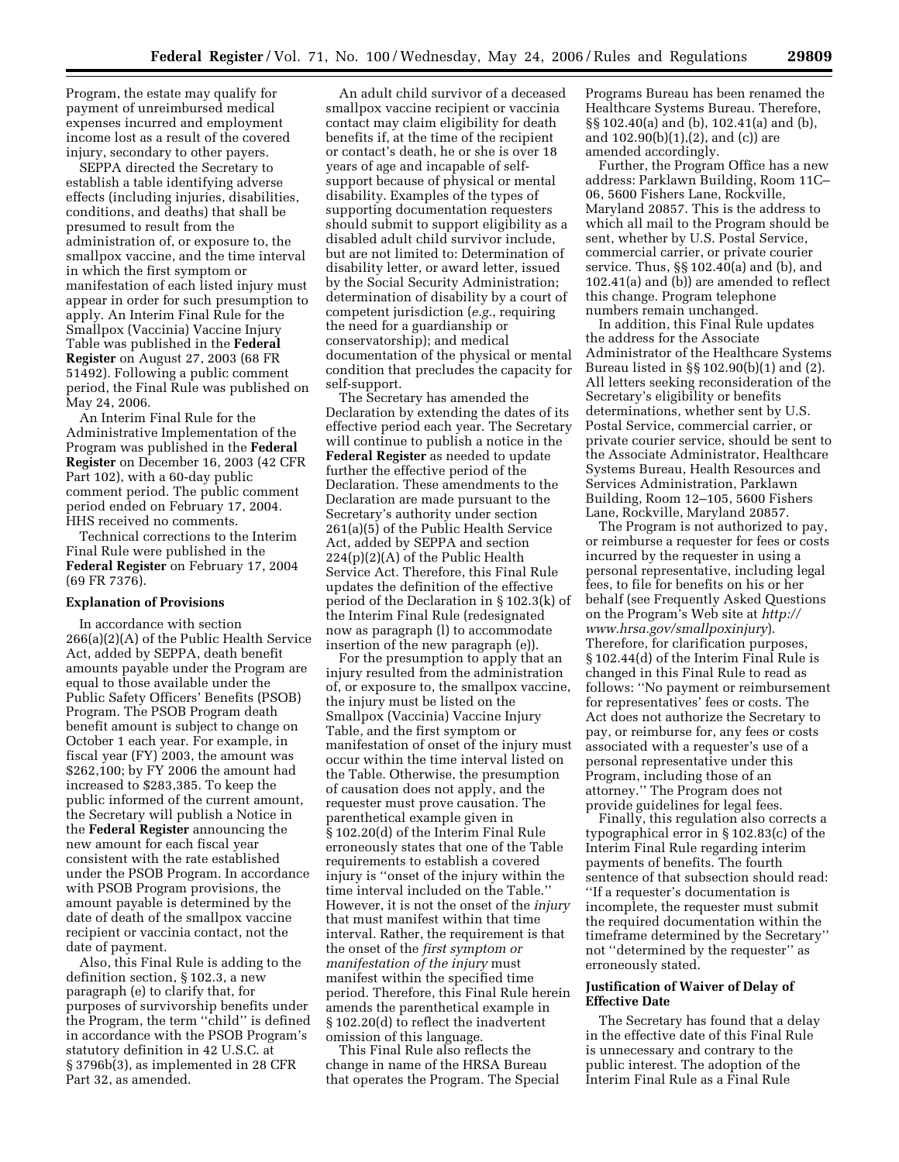Program, the estate may qualify for payment of unreimbursed medical expenses incurred and employment income lost as a result of the covered injury, secondary to other payers.

SEPPA directed the Secretary to establish a table identifying adverse effects (including injuries, disabilities, conditions, and deaths) that shall be presumed to result from the administration of, or exposure to, the smallpox vaccine, and the time interval in which the first symptom or manifestation of each listed injury must appear in order for such presumption to apply. An Interim Final Rule for the Smallpox (Vaccinia) Vaccine Injury Table was published in the **Federal Register** on August 27, 2003 (68 FR 51492). Following a public comment period, the Final Rule was published on May 24, 2006.

An Interim Final Rule for the Administrative Implementation of the Program was published in the **Federal Register** on December 16, 2003 (42 CFR Part 102), with a 60-day public comment period. The public comment period ended on February 17, 2004. HHS received no comments.

Technical corrections to the Interim Final Rule were published in the **Federal Register** on February 17, 2004 (69 FR 7376).

## **Explanation of Provisions**

In accordance with section 266(a)(2)(A) of the Public Health Service Act, added by SEPPA, death benefit amounts payable under the Program are equal to those available under the Public Safety Officers' Benefits (PSOB) Program. The PSOB Program death benefit amount is subject to change on October 1 each year. For example, in fiscal year (FY) 2003, the amount was \$262,100; by FY 2006 the amount had increased to \$283,385. To keep the public informed of the current amount, the Secretary will publish a Notice in the **Federal Register** announcing the new amount for each fiscal year consistent with the rate established under the PSOB Program. In accordance with PSOB Program provisions, the amount payable is determined by the date of death of the smallpox vaccine recipient or vaccinia contact, not the date of payment.

Also, this Final Rule is adding to the definition section, § 102.3, a new paragraph (e) to clarify that, for purposes of survivorship benefits under the Program, the term ''child'' is defined in accordance with the PSOB Program's statutory definition in 42 U.S.C. at § 3796b(3), as implemented in 28 CFR Part 32, as amended.

An adult child survivor of a deceased smallpox vaccine recipient or vaccinia contact may claim eligibility for death benefits if, at the time of the recipient or contact's death, he or she is over 18 years of age and incapable of selfsupport because of physical or mental disability. Examples of the types of supporting documentation requesters should submit to support eligibility as a disabled adult child survivor include, but are not limited to: Determination of disability letter, or award letter, issued by the Social Security Administration; determination of disability by a court of competent jurisdiction (*e.g.*, requiring the need for a guardianship or conservatorship); and medical documentation of the physical or mental condition that precludes the capacity for self-support.

The Secretary has amended the Declaration by extending the dates of its effective period each year. The Secretary will continue to publish a notice in the **Federal Register** as needed to update further the effective period of the Declaration. These amendments to the Declaration are made pursuant to the Secretary's authority under section 261(a)(5) of the Public Health Service Act, added by SEPPA and section 224(p)(2)(A) of the Public Health Service Act. Therefore, this Final Rule updates the definition of the effective period of the Declaration in § 102.3(k) of the Interim Final Rule (redesignated now as paragraph (l) to accommodate insertion of the new paragraph (e)).

For the presumption to apply that an injury resulted from the administration of, or exposure to, the smallpox vaccine, the injury must be listed on the Smallpox (Vaccinia) Vaccine Injury Table, and the first symptom or manifestation of onset of the injury must occur within the time interval listed on the Table. Otherwise, the presumption of causation does not apply, and the requester must prove causation. The parenthetical example given in § 102.20(d) of the Interim Final Rule erroneously states that one of the Table requirements to establish a covered injury is ''onset of the injury within the time interval included on the Table.'' However, it is not the onset of the *injury*  that must manifest within that time interval. Rather, the requirement is that the onset of the *first symptom or manifestation of the injury* must manifest within the specified time period. Therefore, this Final Rule herein amends the parenthetical example in § 102.20(d) to reflect the inadvertent omission of this language.

This Final Rule also reflects the change in name of the HRSA Bureau that operates the Program. The Special Programs Bureau has been renamed the Healthcare Systems Bureau. Therefore, §§ 102.40(a) and (b), 102.41(a) and (b), and 102.90(b)(1),(2), and (c)) are amended accordingly.

Further, the Program Office has a new address: Parklawn Building, Room 11C– 06, 5600 Fishers Lane, Rockville, Maryland 20857. This is the address to which all mail to the Program should be sent, whether by U.S. Postal Service, commercial carrier, or private courier service. Thus, §§ 102.40(a) and (b), and 102.41(a) and (b)) are amended to reflect this change. Program telephone numbers remain unchanged.

In addition, this Final Rule updates the address for the Associate Administrator of the Healthcare Systems Bureau listed in §§ 102.90(b)(1) and (2). All letters seeking reconsideration of the Secretary's eligibility or benefits determinations, whether sent by U.S. Postal Service, commercial carrier, or private courier service, should be sent to the Associate Administrator, Healthcare Systems Bureau, Health Resources and Services Administration, Parklawn Building, Room 12–105, 5600 Fishers Lane, Rockville, Maryland 20857.

The Program is not authorized to pay, or reimburse a requester for fees or costs incurred by the requester in using a personal representative, including legal fees, to file for benefits on his or her behalf (see Frequently Asked Questions on the Program's Web site at *http:// www.hrsa.gov/smallpoxinjury*). Therefore, for clarification purposes, § 102.44(d) of the Interim Final Rule is changed in this Final Rule to read as follows: ''No payment or reimbursement for representatives' fees or costs. The Act does not authorize the Secretary to pay, or reimburse for, any fees or costs associated with a requester's use of a personal representative under this Program, including those of an attorney.'' The Program does not provide guidelines for legal fees.

Finally, this regulation also corrects a typographical error in § 102.83(c) of the Interim Final Rule regarding interim payments of benefits. The fourth sentence of that subsection should read: ''If a requester's documentation is incomplete, the requester must submit the required documentation within the timeframe determined by the Secretary'' not ''determined by the requester'' as erroneously stated.

## **Justification of Waiver of Delay of Effective Date**

The Secretary has found that a delay in the effective date of this Final Rule is unnecessary and contrary to the public interest. The adoption of the Interim Final Rule as a Final Rule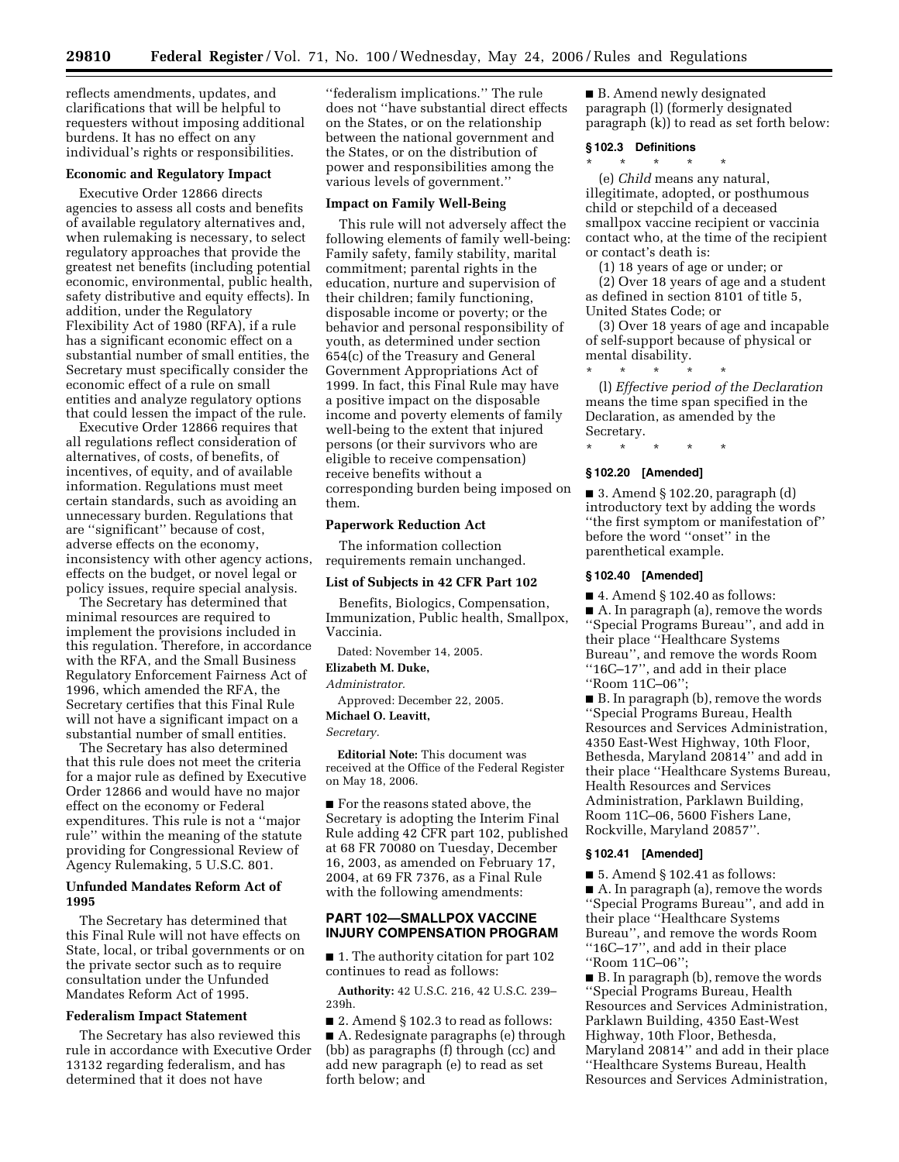reflects amendments, updates, and clarifications that will be helpful to requesters without imposing additional burdens. It has no effect on any individual's rights or responsibilities.

# **Economic and Regulatory Impact**

Executive Order 12866 directs agencies to assess all costs and benefits of available regulatory alternatives and, when rulemaking is necessary, to select regulatory approaches that provide the greatest net benefits (including potential economic, environmental, public health, safety distributive and equity effects). In addition, under the Regulatory Flexibility Act of 1980 (RFA), if a rule has a significant economic effect on a substantial number of small entities, the Secretary must specifically consider the economic effect of a rule on small entities and analyze regulatory options that could lessen the impact of the rule.

Executive Order 12866 requires that all regulations reflect consideration of alternatives, of costs, of benefits, of incentives, of equity, and of available information. Regulations must meet certain standards, such as avoiding an unnecessary burden. Regulations that are ''significant'' because of cost, adverse effects on the economy, inconsistency with other agency actions, effects on the budget, or novel legal or policy issues, require special analysis.

The Secretary has determined that minimal resources are required to implement the provisions included in this regulation. Therefore, in accordance with the RFA, and the Small Business Regulatory Enforcement Fairness Act of 1996, which amended the RFA, the Secretary certifies that this Final Rule will not have a significant impact on a substantial number of small entities.

The Secretary has also determined that this rule does not meet the criteria for a major rule as defined by Executive Order 12866 and would have no major effect on the economy or Federal expenditures. This rule is not a ''major rule'' within the meaning of the statute providing for Congressional Review of Agency Rulemaking, 5 U.S.C. 801.

# **Unfunded Mandates Reform Act of 1995**

The Secretary has determined that this Final Rule will not have effects on State, local, or tribal governments or on the private sector such as to require consultation under the Unfunded Mandates Reform Act of 1995.

## **Federalism Impact Statement**

The Secretary has also reviewed this rule in accordance with Executive Order 13132 regarding federalism, and has determined that it does not have

''federalism implications.'' The rule does not ''have substantial direct effects on the States, or on the relationship between the national government and the States, or on the distribution of power and responsibilities among the various levels of government.''

#### **Impact on Family Well-Being**

This rule will not adversely affect the following elements of family well-being: Family safety, family stability, marital commitment; parental rights in the education, nurture and supervision of their children; family functioning, disposable income or poverty; or the behavior and personal responsibility of youth, as determined under section 654(c) of the Treasury and General Government Appropriations Act of 1999. In fact, this Final Rule may have a positive impact on the disposable income and poverty elements of family well-being to the extent that injured persons (or their survivors who are eligible to receive compensation) receive benefits without a corresponding burden being imposed on them.

#### **Paperwork Reduction Act**

The information collection requirements remain unchanged.

## **List of Subjects in 42 CFR Part 102**

Benefits, Biologics, Compensation, Immunization, Public health, Smallpox, Vaccinia.

Dated: November 14, 2005.

# **Elizabeth M. Duke,**

*Administrator.* 

Approved: December 22, 2005.

# **Michael O. Leavitt,**

*Secretary.* 

**Editorial Note:** This document was received at the Office of the Federal Register on May 18, 2006.

■ For the reasons stated above, the Secretary is adopting the Interim Final Rule adding 42 CFR part 102, published at 68 FR 70080 on Tuesday, December 16, 2003, as amended on February 17, 2004, at 69 FR 7376, as a Final Rule with the following amendments:

# **PART 102—SMALLPOX VACCINE INJURY COMPENSATION PROGRAM**

■ 1. The authority citation for part 102 continues to read as follows:

**Authority:** 42 U.S.C. 216, 42 U.S.C. 239– 239h.

 $\blacksquare$  2. Amend § 102.3 to read as follows: ■ A. Redesignate paragraphs (e) through (bb) as paragraphs (f) through (cc) and add new paragraph (e) to read as set forth below; and

■ B. Amend newly designated paragraph (l) (formerly designated paragraph (k)) to read as set forth below:

## **§ 102.3 Definitions**

\* \* \* \* \* (e) *Child* means any natural, illegitimate, adopted, or posthumous child or stepchild of a deceased smallpox vaccine recipient or vaccinia contact who, at the time of the recipient or contact's death is:

(1) 18 years of age or under; or

(2) Over 18 years of age and a student as defined in section 8101 of title 5, United States Code; or

(3) Over 18 years of age and incapable of self-support because of physical or mental disability.

\* \* \* \* \* (l) *Effective period of the Declaration*  means the time span specified in the Declaration, as amended by the Secretary.

\* \* \* \* \*

## **§ 102.20 [Amended]**

■ 3. Amend § 102.20, paragraph (d) introductory text by adding the words ''the first symptom or manifestation of'' before the word ''onset'' in the parenthetical example.

#### **§ 102.40 [Amended]**

■ 4. Amend § 102.40 as follows: ■ A. In paragraph (a), remove the words ''Special Programs Bureau'', and add in their place ''Healthcare Systems Bureau'', and remove the words Room ''16C–17'', and add in their place ''Room 11C–06'';

■ B. In paragraph (b), remove the words ''Special Programs Bureau, Health Resources and Services Administration, 4350 East-West Highway, 10th Floor, Bethesda, Maryland 20814'' and add in their place ''Healthcare Systems Bureau, Health Resources and Services Administration, Parklawn Building, Room 11C–06, 5600 Fishers Lane, Rockville, Maryland 20857''.

## **§ 102.41 [Amended]**

 $\blacksquare$  5. Amend § 102.41 as follows: ■ A. In paragraph (a), remove the words ''Special Programs Bureau'', and add in their place ''Healthcare Systems Bureau'', and remove the words Room ''16C–17'', and add in their place ''Room 11C–06'';

■ B. In paragraph (b), remove the words ''Special Programs Bureau, Health Resources and Services Administration, Parklawn Building, 4350 East-West Highway, 10th Floor, Bethesda, Maryland 20814'' and add in their place ''Healthcare Systems Bureau, Health Resources and Services Administration,